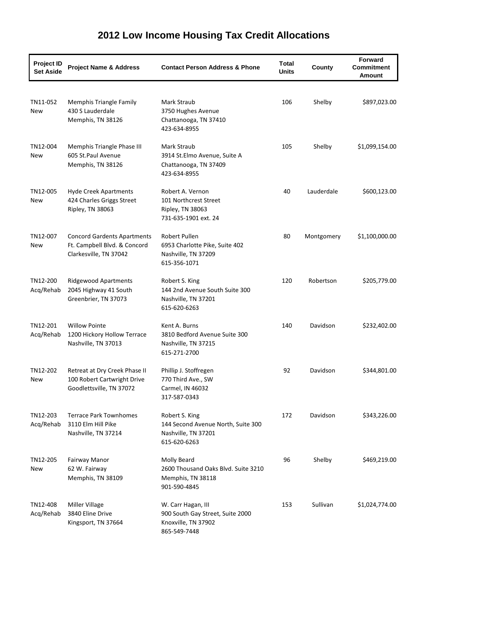| <b>Project ID</b><br><b>Set Aside</b> | <b>Project Name &amp; Address</b>                                                            | <b>Contact Person Address &amp; Phone</b>                                                     | Total<br><b>Units</b> | County     | <b>Forward</b><br><b>Commitment</b><br>Amount |
|---------------------------------------|----------------------------------------------------------------------------------------------|-----------------------------------------------------------------------------------------------|-----------------------|------------|-----------------------------------------------|
| TN11-052<br>New                       | <b>Memphis Triangle Family</b><br>430 S Lauderdale<br>Memphis, TN 38126                      | Mark Straub<br>3750 Hughes Avenue<br>Chattanooga, TN 37410<br>423-634-8955                    | 106                   | Shelby     | \$897,023.00                                  |
| TN12-004<br>New                       | Memphis Triangle Phase III<br>605 St.Paul Avenue<br>Memphis, TN 38126                        | Mark Straub<br>3914 St.Elmo Avenue, Suite A<br>Chattanooga, TN 37409<br>423-634-8955          | 105                   | Shelby     | \$1,099,154.00                                |
| TN12-005<br>New                       | Hyde Creek Apartments<br>424 Charles Griggs Street<br>Ripley, TN 38063                       | Robert A. Vernon<br>101 Northcrest Street<br>Ripley, TN 38063<br>731-635-1901 ext. 24         | 40                    | Lauderdale | \$600,123.00                                  |
| TN12-007<br>New                       | <b>Concord Gardents Apartments</b><br>Ft. Campbell Blvd. & Concord<br>Clarkesville, TN 37042 | Robert Pullen<br>6953 Charlotte Pike, Suite 402<br>Nashville, TN 37209<br>615-356-1071        | 80                    | Montgomery | \$1,100,000.00                                |
| TN12-200<br>Acq/Rehab                 | <b>Ridgewood Apartments</b><br>2045 Highway 41 South<br>Greenbrier, TN 37073                 | Robert S. King<br>144 2nd Avenue South Suite 300<br>Nashville, TN 37201<br>615-620-6263       | 120                   | Robertson  | \$205,779.00                                  |
| TN12-201<br>Acq/Rehab                 | <b>Willow Pointe</b><br>1200 Hickory Hollow Terrace<br>Nashville, TN 37013                   | Kent A. Burns<br>3810 Bedford Avenue Suite 300<br>Nashville, TN 37215<br>615-271-2700         | 140                   | Davidson   | \$232,402.00                                  |
| TN12-202<br>New                       | Retreat at Dry Creek Phase II<br>100 Robert Cartwright Drive<br>Goodlettsville, TN 37072     | Phillip J. Stoffregen<br>770 Third Ave., SW<br>Carmel, IN 46032<br>317-587-0343               | 92                    | Davidson   | \$344,801.00                                  |
| TN12-203<br>Acq/Rehab                 | <b>Terrace Park Townhomes</b><br>3110 Elm Hill Pike<br>Nashville, TN 37214                   | Robert S. King<br>144 Second Avenue North, Suite 300<br>Nashville, TN 37201<br>615-620-6263   | 172                   | Davidson   | \$343,226.00                                  |
| TN12-205<br>New                       | Fairway Manor<br>62 W. Fairway<br>Memphis, TN 38109                                          | Molly Beard<br>2600 Thousand Oaks Blvd. Suite 3210<br>Memphis, TN 38118<br>901-590-4845       | 96                    | Shelby     | \$469,219.00                                  |
| TN12-408<br>Acq/Rehab                 | <b>Miller Village</b><br>3840 Eline Drive<br>Kingsport, TN 37664                             | W. Carr Hagan, III<br>900 South Gay Street, Suite 2000<br>Knoxville, TN 37902<br>865-549-7448 | 153                   | Sullivan   | \$1,024,774.00                                |

## **2012 Low Income Housing Tax Credit Allocations**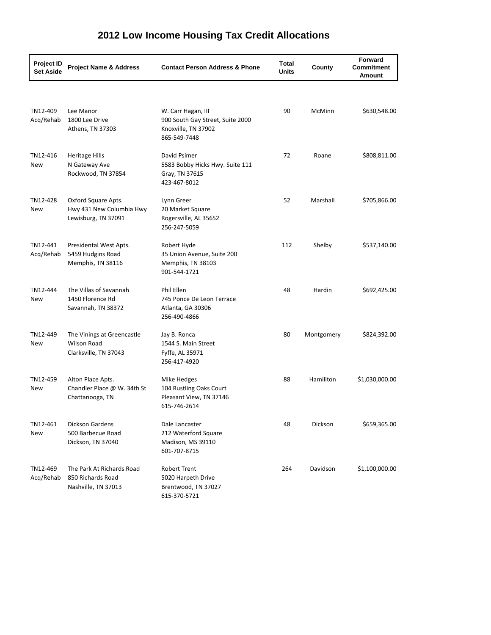| <b>Project ID</b><br><b>Set Aside</b> | <b>Project Name &amp; Address</b>                                         | <b>Contact Person Address &amp; Phone</b>                                                     | <b>Total</b><br><b>Units</b> | County     | Forward<br><b>Commitment</b><br>Amount |
|---------------------------------------|---------------------------------------------------------------------------|-----------------------------------------------------------------------------------------------|------------------------------|------------|----------------------------------------|
|                                       |                                                                           |                                                                                               |                              |            |                                        |
| TN12-409<br>Acq/Rehab                 | Lee Manor<br>1800 Lee Drive<br>Athens, TN 37303                           | W. Carr Hagan, III<br>900 South Gay Street, Suite 2000<br>Knoxville, TN 37902<br>865-549-7448 | 90                           | McMinn     | \$630,548.00                           |
| TN12-416<br>New                       | <b>Heritage Hills</b><br>N Gateway Ave<br>Rockwood, TN 37854              | David Psimer<br>5583 Bobby Hicks Hwy. Suite 111<br>Gray, TN 37615<br>423-467-8012             | 72                           | Roane      | \$808,811.00                           |
| TN12-428<br>New                       | Oxford Square Apts.<br>Hwy 431 New Columbia Hwy<br>Lewisburg, TN 37091    | Lynn Greer<br>20 Market Square<br>Rogersville, AL 35652<br>256-247-5059                       | 52                           | Marshall   | \$705,866.00                           |
| TN12-441<br>Acq/Rehab                 | Presidental West Apts.<br>5459 Hudgins Road<br>Memphis, TN 38116          | Robert Hyde<br>35 Union Avenue, Suite 200<br>Memphis, TN 38103<br>901-544-1721                | 112                          | Shelby     | \$537,140.00                           |
| TN12-444<br>New                       | The Villas of Savannah<br>1450 Florence Rd<br>Savannah, TN 38372          | Phil Ellen<br>745 Ponce De Leon Terrace<br>Atlanta, GA 30306<br>256-490-4866                  | 48                           | Hardin     | \$692,425.00                           |
| TN12-449<br>New                       | The Vinings at Greencastle<br><b>Wilson Road</b><br>Clarksville, TN 37043 | Jay B. Ronca<br>1544 S. Main Street<br>Fyffe, AL 35971<br>256-417-4920                        | 80                           | Montgomery | \$824,392.00                           |
| TN12-459<br>New                       | Alton Place Apts.<br>Chandler Place @ W. 34th St<br>Chattanooga, TN       | Mike Hedges<br>104 Rustling Oaks Court<br>Pleasant View, TN 37146<br>615-746-2614             | 88                           | Hamiliton  | \$1,030,000.00                         |
| TN12-461<br>New                       | <b>Dickson Gardens</b><br>500 Barbecue Road<br>Dickson, TN 37040          | Dale Lancaster<br>212 Waterford Square<br>Madison, MS 39110<br>601-707-8715                   | 48                           | Dickson    | \$659,365.00                           |
| TN12-469<br>Acq/Rehab                 | The Park At Richards Road<br>850 Richards Road<br>Nashville, TN 37013     | <b>Robert Trent</b><br>5020 Harpeth Drive<br>Brentwood, TN 37027<br>615-370-5721              | 264                          | Davidson   | \$1,100,000.00                         |

## **2012 Low Income Housing Tax Credit Allocations**